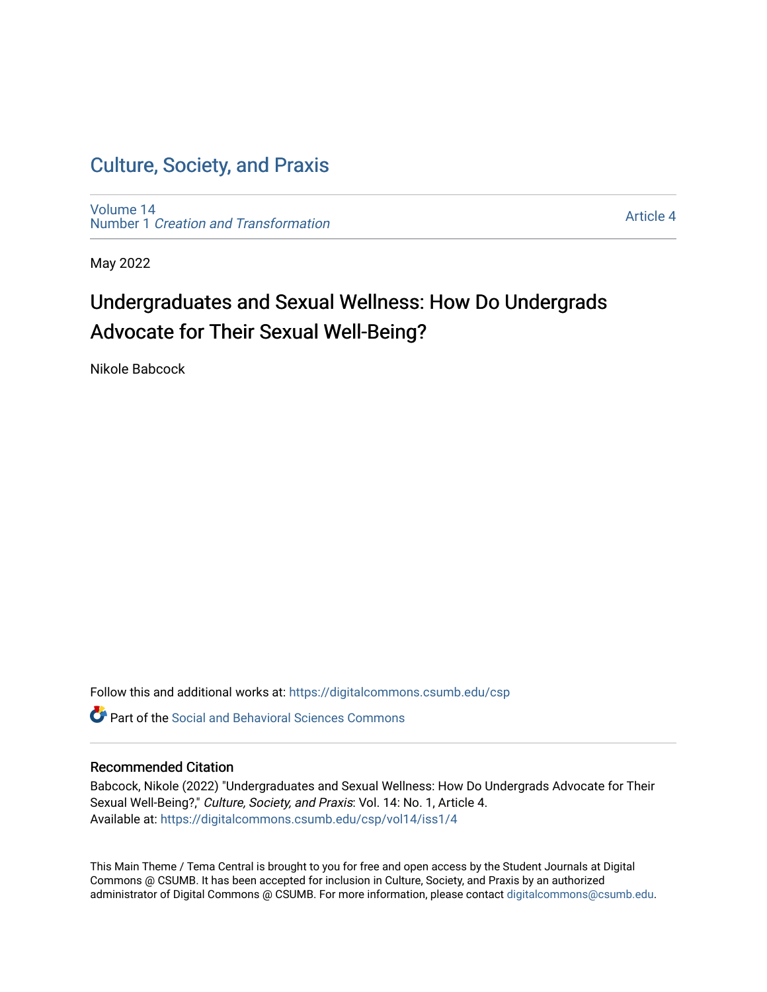[Volume 14](https://digitalcommons.csumb.edu/csp/vol14) Number 1 [Creation and Transformation](https://digitalcommons.csumb.edu/csp/vol14/iss1)

[Article 4](https://digitalcommons.csumb.edu/csp/vol14/iss1/4) 

May 2022

# Undergraduates and Sexual Wellness: How Do Undergrads Advocate for Their Sexual Well-Being?

Nikole Babcock

Follow this and additional works at: [https://digitalcommons.csumb.edu/csp](https://digitalcommons.csumb.edu/csp?utm_source=digitalcommons.csumb.edu%2Fcsp%2Fvol14%2Fiss1%2F4&utm_medium=PDF&utm_campaign=PDFCoverPages)

**C** Part of the Social and Behavioral Sciences Commons

#### Recommended Citation

Babcock, Nikole (2022) "Undergraduates and Sexual Wellness: How Do Undergrads Advocate for Their Sexual Well-Being?," Culture, Society, and Praxis: Vol. 14: No. 1, Article 4. Available at: [https://digitalcommons.csumb.edu/csp/vol14/iss1/4](https://digitalcommons.csumb.edu/csp/vol14/iss1/4?utm_source=digitalcommons.csumb.edu%2Fcsp%2Fvol14%2Fiss1%2F4&utm_medium=PDF&utm_campaign=PDFCoverPages)

This Main Theme / Tema Central is brought to you for free and open access by the Student Journals at Digital Commons @ CSUMB. It has been accepted for inclusion in Culture, Society, and Praxis by an authorized administrator of Digital Commons @ CSUMB. For more information, please contact [digitalcommons@csumb.edu](mailto:digitalcommons@csumb.edu).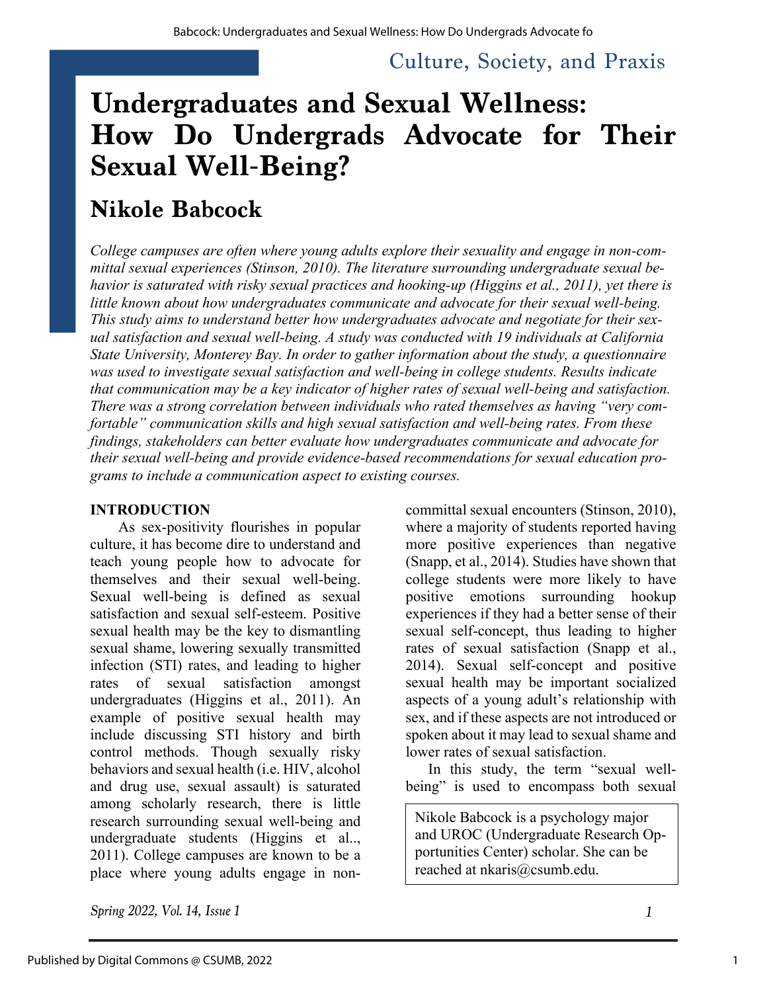# **Undergraduates and Sexual Wellness: How Do Undergrads Advocate for Their Sexual Well-Being?**

# **Nikole Babcock**

*College campuses are often where young adults explore their sexuality and engage in non-committal sexual experiences (Stinson, 2010). The literature surrounding undergraduate sexual behavior is saturated with risky sexual practices and hooking-up (Higgins et al., 2011), yet there is little known about how undergraduates communicate and advocate for their sexual well-being. This study aims to understand better how undergraduates advocate and negotiate for their sexual satisfaction and sexual well-being. A study was conducted with 19 individuals at California State University, Monterey Bay. In order to gather information about the study, a questionnaire was used to investigate sexual satisfaction and well-being in college students. Results indicate that communication may be a key indicator of higher rates of sexual well-being and satisfaction. There was a strong correlation between individuals who rated themselves as having "very comfortable" communication skills and high sexual satisfaction and well-being rates. From these findings, stakeholders can better evaluate how undergraduates communicate and advocate for their sexual well-being and provide evidence-based recommendations for sexual education programs to include a communication aspect to existing courses.*

#### **INTRODUCTION**

As sex-positivity flourishes in popular culture, it has become dire to understand and teach young people how to advocate for themselves and their sexual well-being. Sexual well-being is defined as sexual satisfaction and sexual self-esteem. Positive sexual health may be the key to dismantling sexual shame, lowering sexually transmitted infection (STI) rates, and leading to higher rates of sexual satisfaction amongst undergraduates (Higgins et al., 2011). An example of positive sexual health may include discussing STI history and birth control methods. Though sexually risky behaviors and sexual health (i.e. HIV, alcohol and drug use, sexual assault) is saturated among scholarly research, there is little research surrounding sexual well-being and undergraduate students (Higgins et al.., 2011). College campuses are known to be a place where young adults engage in noncommittal sexual encounters (Stinson, 2010), where a majority of students reported having more positive experiences than negative (Snapp, et al., 2014). Studies have shown that college students were more likely to have positive emotions surrounding hookup experiences if they had a better sense of their sexual self-concept, thus leading to higher rates of sexual satisfaction (Snapp et al., 2014). Sexual self-concept and positive sexual health may be important socialized aspects of a young adult's relationship with sex, and if these aspects are not introduced or spoken about it may lead to sexual shame and lower rates of sexual satisfaction.

In this study, the term "sexual wellbeing" is used to encompass both sexual

Nikole Babcock is a psychology major and UROC (Undergraduate Research Opportunities Center) scholar. She can be reached at nkaris@csumb.edu.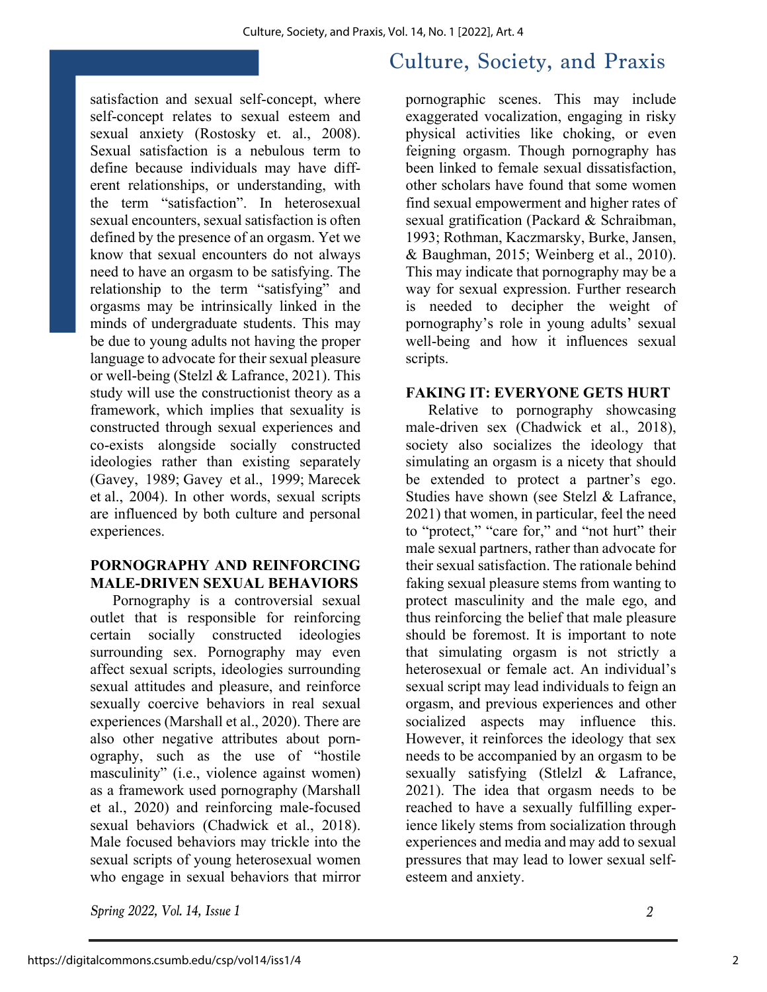satisfaction and sexual self-concept, where self-concept relates to sexual esteem and sexual anxiety (Rostosky et. al., 2008). Sexual satisfaction is a nebulous term to define because individuals may have different relationships, or understanding, with the term "satisfaction". In heterosexual sexual encounters, sexual satisfaction is often defined by the presence of an orgasm. Yet we know that sexual encounters do not always need to have an orgasm to be satisfying. The relationship to the term "satisfying" and orgasms may be intrinsically linked in the minds of undergraduate students. This may be due to young adults not having the proper language to advocate for their sexual pleasure or well-being (Stelzl & Lafrance, 2021). This study will use the constructionist theory as a framework, which implies that sexuality is constructed through sexual experiences and co-exists alongside socially constructed ideologies rather than existing separately (Gavey, 1989; Gavey et al., 1999; Marecek et al., 2004). In other words, sexual scripts are influenced by both culture and personal experiences.

#### **PORNOGRAPHY AND REINFORCING MALE-DRIVEN SEXUAL BEHAVIORS**

Pornography is a controversial sexual outlet that is responsible for reinforcing certain socially constructed ideologies surrounding sex. Pornography may even affect sexual scripts, ideologies surrounding sexual attitudes and pleasure, and reinforce sexually coercive behaviors in real sexual experiences (Marshall et al., 2020). There are also other negative attributes about pornography, such as the use of "hostile masculinity" (i.e., violence against women) as a framework used pornography (Marshall et al., 2020) and reinforcing male-focused sexual behaviors (Chadwick et al., 2018). Male focused behaviors may trickle into the sexual scripts of young heterosexual women who engage in sexual behaviors that mirror

*Spring 2022, Vol. 14, Issue 1 2*

# Culture, Society, and Praxis

pornographic scenes. This may include exaggerated vocalization, engaging in risky physical activities like choking, or even feigning orgasm. Though pornography has been linked to female sexual dissatisfaction, other scholars have found that some women find sexual empowerment and higher rates of sexual gratification (Packard & Schraibman, 1993; Rothman, Kaczmarsky, Burke, Jansen, & Baughman, 2015; Weinberg et al., 2010). This may indicate that pornography may be a way for sexual expression. Further research is needed to decipher the weight of pornography's role in young adults' sexual well-being and how it influences sexual scripts.

#### **FAKING IT: EVERYONE GETS HURT**

Relative to pornography showcasing male-driven sex (Chadwick et al., 2018), society also socializes the ideology that simulating an orgasm is a nicety that should be extended to protect a partner's ego. Studies have shown (see Stelzl & Lafrance, 2021) that women, in particular, feel the need to "protect," "care for," and "not hurt" their male sexual partners, rather than advocate for their sexual satisfaction. The rationale behind faking sexual pleasure stems from wanting to protect masculinity and the male ego, and thus reinforcing the belief that male pleasure should be foremost. It is important to note that simulating orgasm is not strictly a heterosexual or female act. An individual's sexual script may lead individuals to feign an orgasm, and previous experiences and other socialized aspects may influence this. However, it reinforces the ideology that sex needs to be accompanied by an orgasm to be sexually satisfying (Stlelzl & Lafrance, 2021). The idea that orgasm needs to be reached to have a sexually fulfilling experience likely stems from socialization through experiences and media and may add to sexual pressures that may lead to lower sexual selfesteem and anxiety.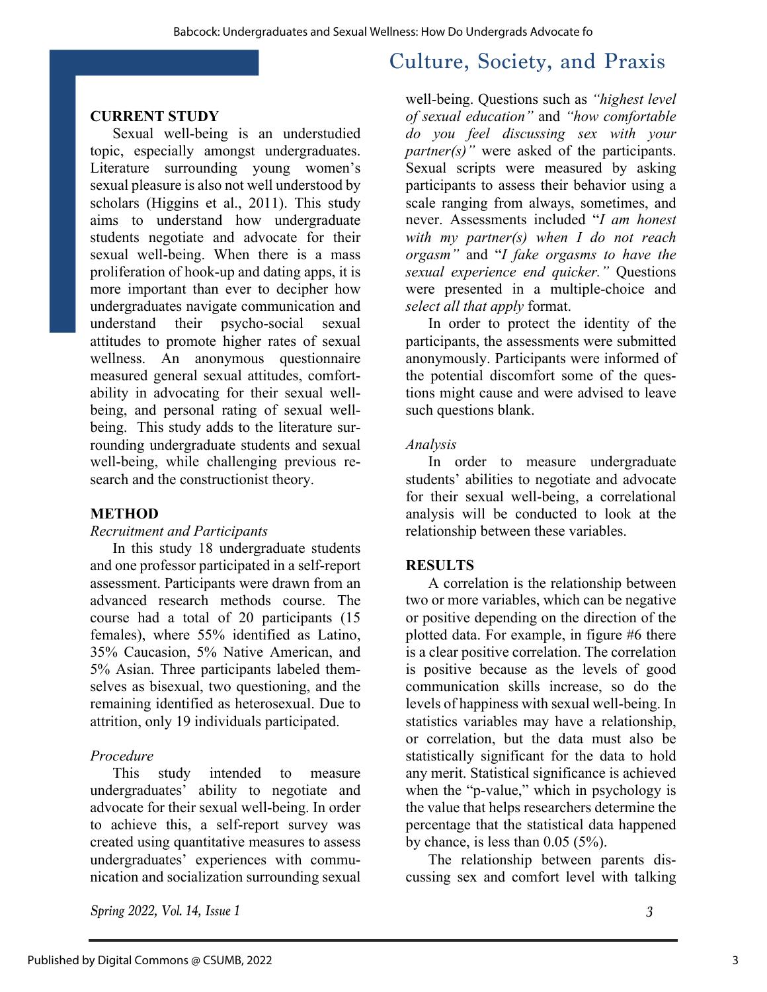#### **CURRENT STUDY**

Sexual well-being is an understudied topic, especially amongst undergraduates. Literature surrounding young women's sexual pleasure is also not well understood by scholars (Higgins et al., 2011). This study aims to understand how undergraduate students negotiate and advocate for their sexual well-being. When there is a mass proliferation of hook-up and dating apps, it is more important than ever to decipher how undergraduates navigate communication and understand their psycho-social sexual attitudes to promote higher rates of sexual wellness. An anonymous questionnaire measured general sexual attitudes, comfortability in advocating for their sexual wellbeing, and personal rating of sexual wellbeing. This study adds to the literature surrounding undergraduate students and sexual well-being, while challenging previous research and the constructionist theory.

#### **METHOD**

#### *Recruitment and Participants*

In this study 18 undergraduate students and one professor participated in a self-report assessment. Participants were drawn from an advanced research methods course. The course had a total of 20 participants (15 females), where 55% identified as Latino, 35% Caucasion, 5% Native American, and 5% Asian. Three participants labeled themselves as bisexual, two questioning, and the remaining identified as heterosexual. Due to attrition, only 19 individuals participated.

#### *Procedure*

This study intended to measure undergraduates' ability to negotiate and advocate for their sexual well-being. In order to achieve this, a self-report survey was created using quantitative measures to assess undergraduates' experiences with communication and socialization surrounding sexual

well-being. Questions such as *"highest level of sexual education"* and *"how comfortable do you feel discussing sex with your partner(s)*" were asked of the participants. Sexual scripts were measured by asking participants to assess their behavior using a scale ranging from always, sometimes, and never. Assessments included "*I am honest with my partner(s) when I do not reach orgasm"* and "*I fake orgasms to have the sexual experience end quicker."* Questions were presented in a multiple-choice and *select all that apply* format.

In order to protect the identity of the participants, the assessments were submitted anonymously. Participants were informed of the potential discomfort some of the questions might cause and were advised to leave such questions blank.

#### *Analysis*

In order to measure undergraduate students' abilities to negotiate and advocate for their sexual well-being, a correlational analysis will be conducted to look at the relationship between these variables.

#### **RESULTS**

A correlation is the relationship between two or more variables, which can be negative or positive depending on the direction of the plotted data. For example, in figure #6 there is a clear positive correlation. The correlation is positive because as the levels of good communication skills increase, so do the levels of happiness with sexual well-being. In statistics variables may have a relationship, or correlation, but the data must also be statistically significant for the data to hold any merit. Statistical significance is achieved when the "p-value," which in psychology is the value that helps researchers determine the percentage that the statistical data happened by chance, is less than 0.05 (5%).

The relationship between parents discussing sex and comfort level with talking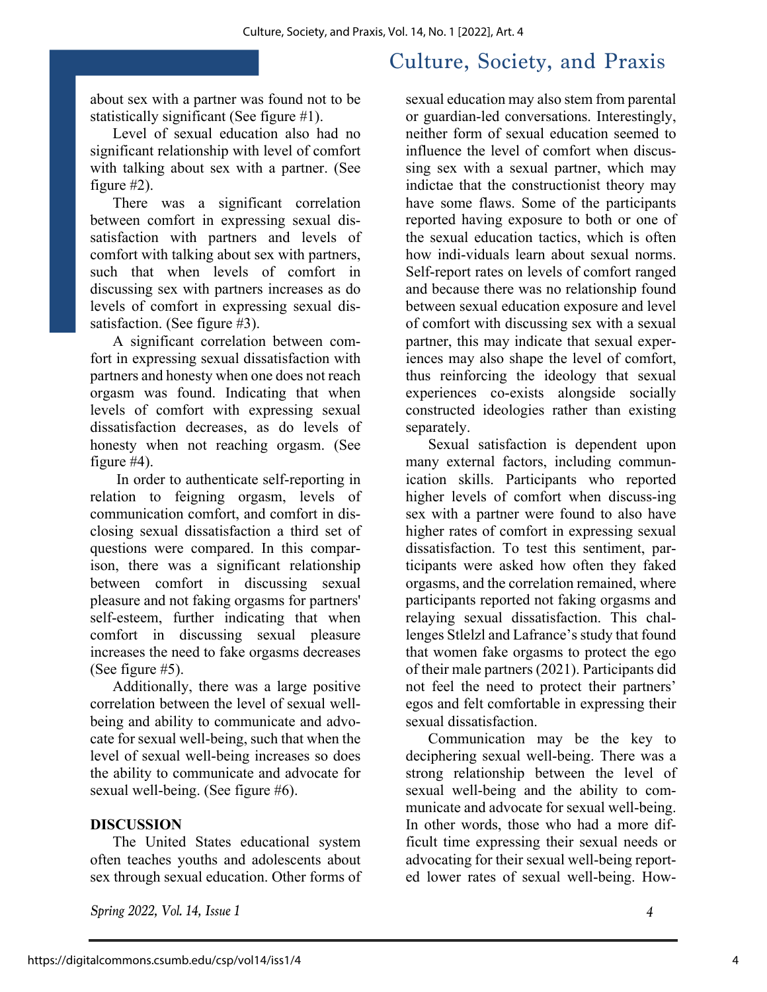about sex with a partner was found not to be statistically significant (See figure #1).

Level of sexual education also had no significant relationship with level of comfort with talking about sex with a partner. (See figure #2).

There was a significant correlation between comfort in expressing sexual dissatisfaction with partners and levels of comfort with talking about sex with partners, such that when levels of comfort in discussing sex with partners increases as do levels of comfort in expressing sexual dissatisfaction. (See figure #3).

A significant correlation between comfort in expressing sexual dissatisfaction with partners and honesty when one does not reach orgasm was found. Indicating that when levels of comfort with expressing sexual dissatisfaction decreases, as do levels of honesty when not reaching orgasm. (See figure #4).

In order to authenticate self-reporting in relation to feigning orgasm, levels of communication comfort, and comfort in disclosing sexual dissatisfaction a third set of questions were compared. In this comparison, there was a significant relationship between comfort in discussing sexual pleasure and not faking orgasms for partners' self-esteem, further indicating that when comfort in discussing sexual pleasure increases the need to fake orgasms decreases (See figure #5).

Additionally, there was a large positive correlation between the level of sexual wellbeing and ability to communicate and advocate for sexual well-being, such that when the level of sexual well-being increases so does the ability to communicate and advocate for sexual well-being. (See figure #6).

#### **DISCUSSION**

The United States educational system often teaches youths and adolescents about sex through sexual education. Other forms of

*Spring 2022, Vol. 14, Issue 1 4*

sexual education may also stem from parental or guardian-led conversations. Interestingly, neither form of sexual education seemed to influence the level of comfort when discussing sex with a sexual partner, which may indictae that the constructionist theory may have some flaws. Some of the participants reported having exposure to both or one of the sexual education tactics, which is often how indi-viduals learn about sexual norms. Self-report rates on levels of comfort ranged and because there was no relationship found between sexual education exposure and level of comfort with discussing sex with a sexual partner, this may indicate that sexual experiences may also shape the level of comfort, thus reinforcing the ideology that sexual experiences co-exists alongside socially constructed ideologies rather than existing separately.

Sexual satisfaction is dependent upon many external factors, including communication skills. Participants who reported higher levels of comfort when discuss-ing sex with a partner were found to also have higher rates of comfort in expressing sexual dissatisfaction. To test this sentiment, participants were asked how often they faked orgasms, and the correlation remained, where participants reported not faking orgasms and relaying sexual dissatisfaction. This challenges Stlelzl and Lafrance's study that found that women fake orgasms to protect the ego of their male partners (2021). Participants did not feel the need to protect their partners' egos and felt comfortable in expressing their sexual dissatisfaction.

Communication may be the key to deciphering sexual well-being. There was a strong relationship between the level of sexual well-being and the ability to communicate and advocate for sexual well-being. In other words, those who had a more difficult time expressing their sexual needs or advocating for their sexual well-being reported lower rates of sexual well-being. How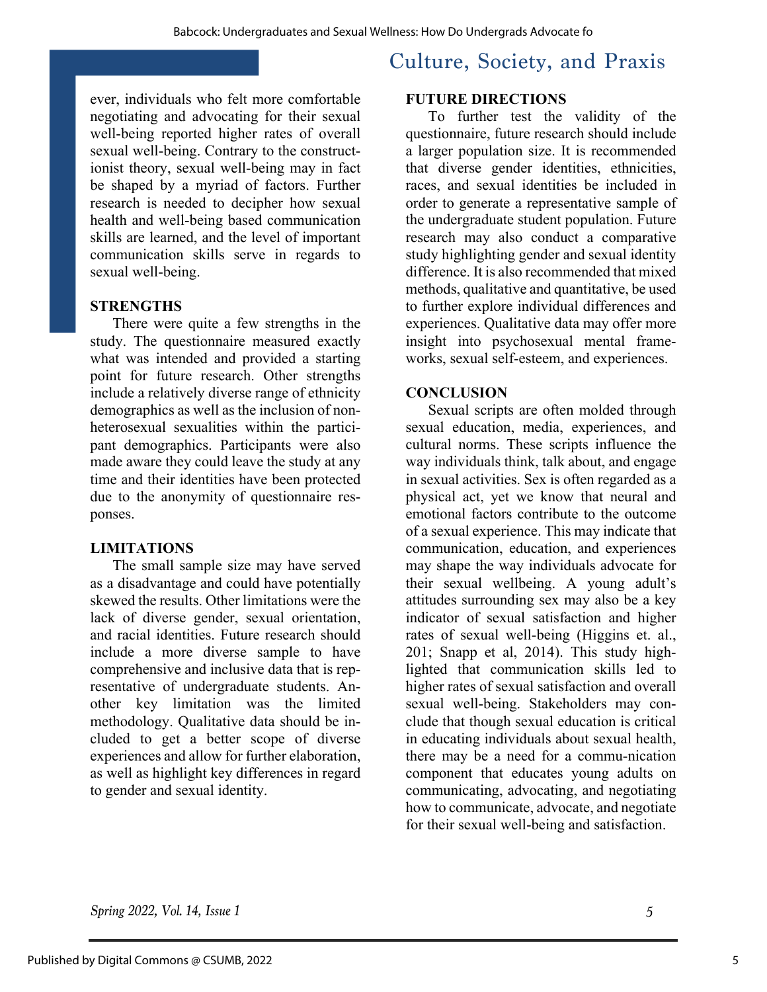ever, individuals who felt more comfortable negotiating and advocating for their sexual well-being reported higher rates of overall sexual well-being. Contrary to the constructionist theory, sexual well-being may in fact be shaped by a myriad of factors. Further research is needed to decipher how sexual health and well-being based communication skills are learned, and the level of important communication skills serve in regards to sexual well-being.

#### **STRENGTHS**

There were quite a few strengths in the study. The questionnaire measured exactly what was intended and provided a starting point for future research. Other strengths include a relatively diverse range of ethnicity demographics as well as the inclusion of nonheterosexual sexualities within the participant demographics. Participants were also made aware they could leave the study at any time and their identities have been protected due to the anonymity of questionnaire responses.

#### **LIMITATIONS**

The small sample size may have served as a disadvantage and could have potentially skewed the results. Other limitations were the lack of diverse gender, sexual orientation, and racial identities. Future research should include a more diverse sample to have comprehensive and inclusive data that is representative of undergraduate students. Another key limitation was the limited methodology. Qualitative data should be included to get a better scope of diverse experiences and allow for further elaboration, as well as highlight key differences in regard to gender and sexual identity.

# Culture, Society, and Praxis

#### **FUTURE DIRECTIONS**

To further test the validity of the questionnaire, future research should include a larger population size. It is recommended that diverse gender identities, ethnicities, races, and sexual identities be included in order to generate a representative sample of the undergraduate student population. Future research may also conduct a comparative study highlighting gender and sexual identity difference. It is also recommended that mixed methods, qualitative and quantitative, be used to further explore individual differences and experiences. Qualitative data may offer more insight into psychosexual mental frameworks, sexual self-esteem, and experiences.

#### **CONCLUSION**

Sexual scripts are often molded through sexual education, media, experiences, and cultural norms. These scripts influence the way individuals think, talk about, and engage in sexual activities. Sex is often regarded as a physical act, yet we know that neural and emotional factors contribute to the outcome of a sexual experience. This may indicate that communication, education, and experiences may shape the way individuals advocate for their sexual wellbeing. A young adult's attitudes surrounding sex may also be a key indicator of sexual satisfaction and higher rates of sexual well-being (Higgins et. al., 201; Snapp et al, 2014). This study highlighted that communication skills led to higher rates of sexual satisfaction and overall sexual well-being. Stakeholders may conclude that though sexual education is critical in educating individuals about sexual health, there may be a need for a commu-nication component that educates young adults on communicating, advocating, and negotiating how to communicate, advocate, and negotiate for their sexual well-being and satisfaction.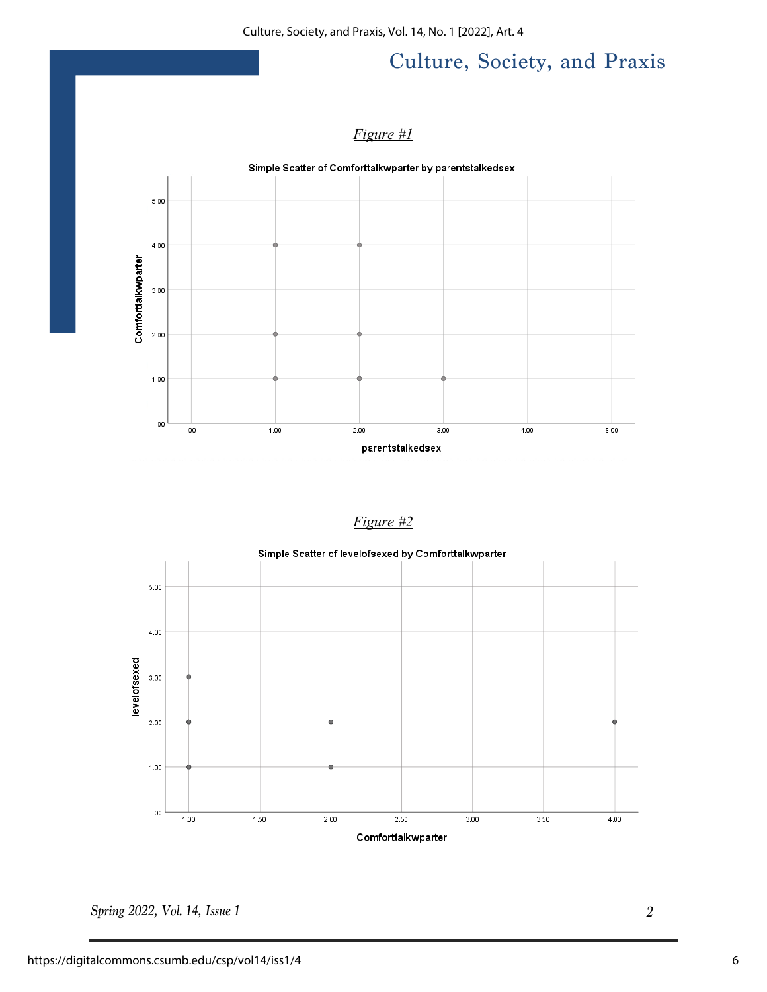Culture, Society, and Praxis, Vol. 14, No. 1 [2022], Art. 4

# Culture, Society, and Praxis

#### *Figure #1*



#### *Figure #2*

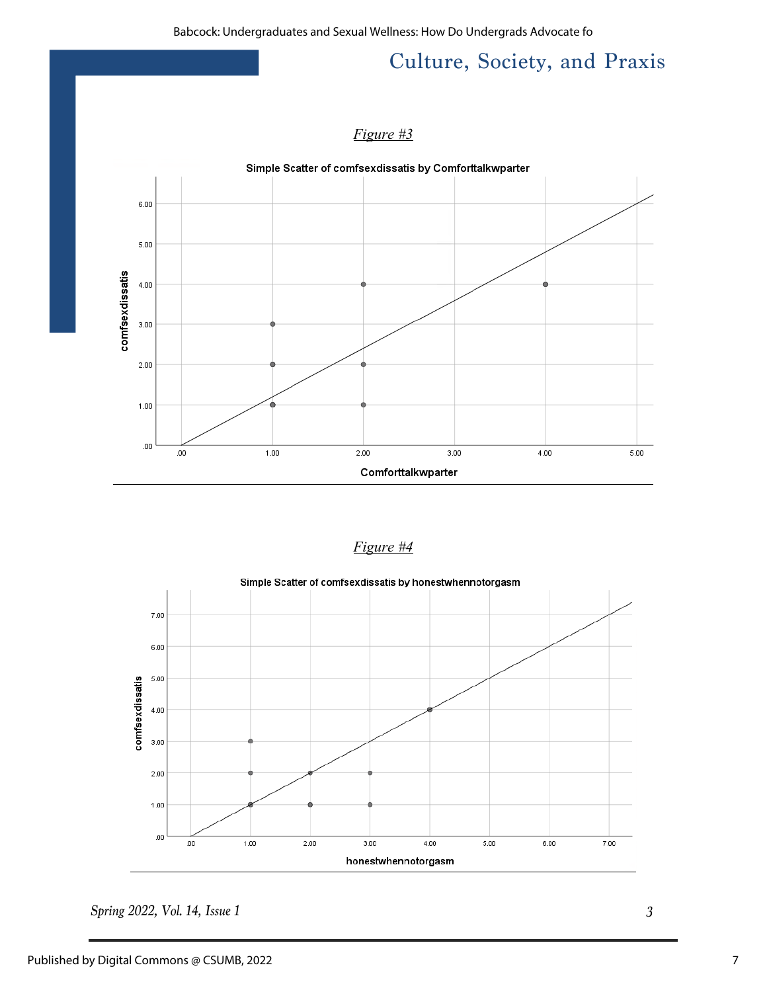#### *Figure #3*



| σı<br>n<br>11.V<br>г. |  |
|-----------------------|--|
|                       |  |

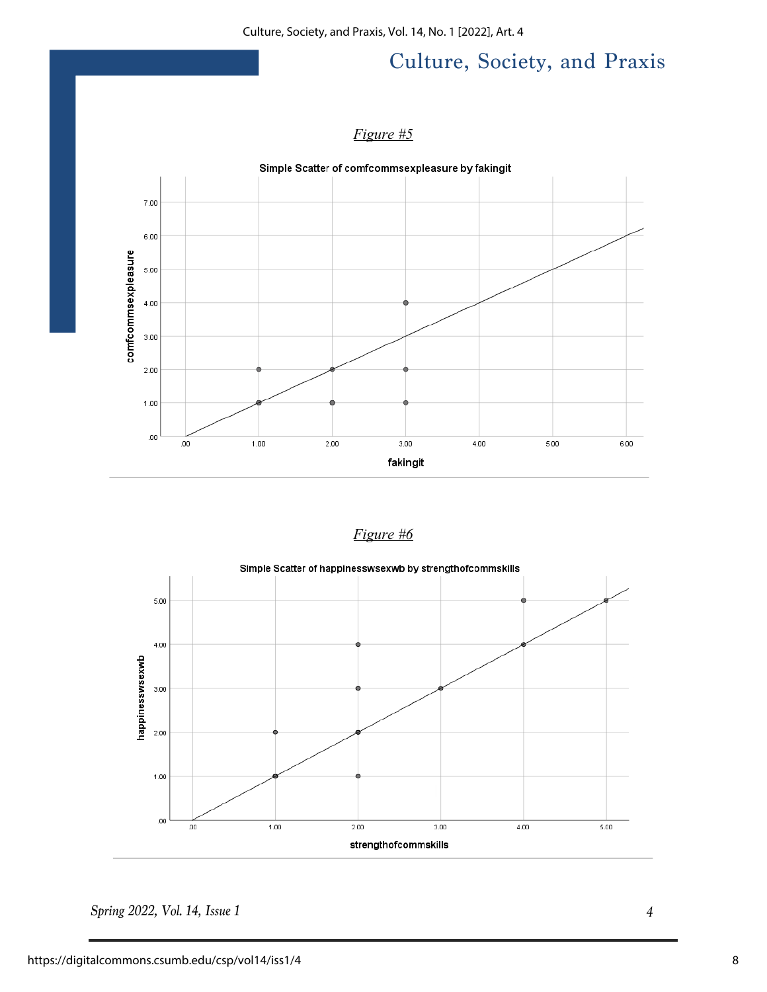Culture, Society, and Praxis, Vol. 14, No. 1 [2022], Art. 4

# Culture, Society, and Praxis

#### *Figure #5*



#### *Figure #6*